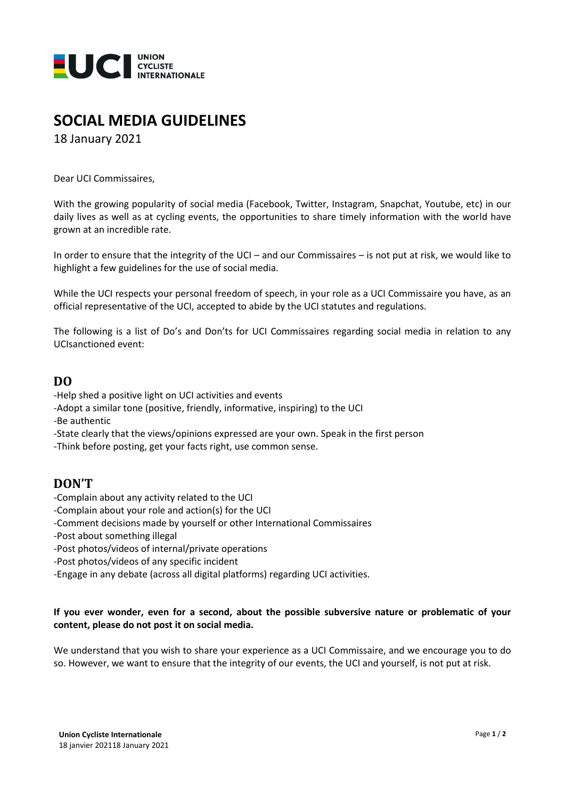

## **SOCIAL MEDIA GUIDELINES**

18 January 2021

Dear UCI Commissaires,

With the growing popularity of social media (Facebook, Twitter, Instagram, Snapchat, Youtube, etc) in our daily lives as well as at cycling events, the opportunities to share timely information with the world have grown at an incredible rate.

In order to ensure that the integrity of the UCI – and our Commissaires – is not put at risk, we would like to highlight a few guidelines for the use of social media.

While the UCI respects your personal freedom of speech, in your role as a UCI Commissaire you have, as an official representative of the UCI, accepted to abide by the UCI statutes and regulations.

The following is a list of Do's and Don'ts for UCI Commissaires regarding social media in relation to any UCIsanctioned event:

### **DO**

-Help shed a positive light on UCI activities and events

- -Adopt a similar tone (positive, friendly, informative, inspiring) to the UCI
- -Be authentic
- -State clearly that the views/opinions expressed are your own. Speak in the first person

-Think before posting, get your facts right, use common sense.

### **DON'T**

- -Complain about any activity related to the UCI
- -Complain about your role and action(s) for the UCI
- -Comment decisions made by yourself or other International Commissaires
- -Post about something illegal
- -Post photos/videos of internal/private operations
- -Post photos/videos of any specific incident
- -Engage in any debate (across all digital platforms) regarding UCI activities.

#### **If you ever wonder, even for a second, about the possible subversive nature or problematic of your content, please do not post it on social media.**

We understand that you wish to share your experience as a UCI Commissaire, and we encourage you to do so. However, we want to ensure that the integrity of our events, the UCI and yourself, is not put at risk.